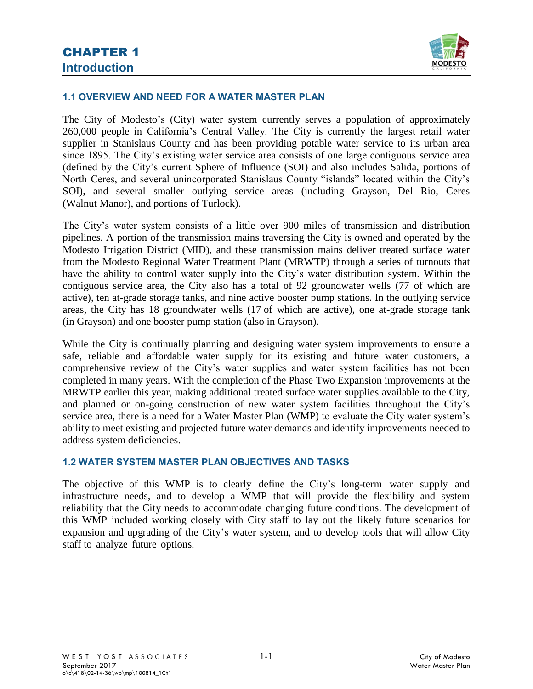

### **1.1 OVERVIEW AND NEED FOR A WATER MASTER PLAN**

The City of Modesto's (City) water system currently serves a population of approximately 260,000 people in California's Central Valley. The City is currently the largest retail water supplier in Stanislaus County and has been providing potable water service to its urban area since 1895. The City's existing water service area consists of one large contiguous service area (defined by the City's current Sphere of Influence (SOI) and also includes Salida, portions of North Ceres, and several unincorporated Stanislaus County "islands" located within the City's SOI), and several smaller outlying service areas (including Grayson, Del Rio, Ceres (Walnut Manor), and portions of Turlock).

The City's water system consists of a little over 900 miles of transmission and distribution pipelines. A portion of the transmission mains traversing the City is owned and operated by the Modesto Irrigation District (MID), and these transmission mains deliver treated surface water from the Modesto Regional Water Treatment Plant (MRWTP) through a series of turnouts that have the ability to control water supply into the City's water distribution system. Within the contiguous service area, the City also has a total of 92 groundwater wells (77 of which are active), ten at-grade storage tanks, and nine active booster pump stations. In the outlying service areas, the City has 18 groundwater wells (17 of which are active), one at-grade storage tank (in Grayson) and one booster pump station (also in Grayson).

While the City is continually planning and designing water system improvements to ensure a safe, reliable and affordable water supply for its existing and future water customers, a comprehensive review of the City's water supplies and water system facilities has not been completed in many years. With the completion of the Phase Two Expansion improvements at the MRWTP earlier this year, making additional treated surface water supplies available to the City, and planned or on-going construction of new water system facilities throughout the City's service area, there is a need for a Water Master Plan (WMP) to evaluate the City water system's ability to meet existing and projected future water demands and identify improvements needed to address system deficiencies.

## **1.2 WATER SYSTEM MASTER PLAN OBJECTIVES AND TASKS**

The objective of this WMP is to clearly define the City's long-term water supply and infrastructure needs, and to develop a WMP that will provide the flexibility and system reliability that the City needs to accommodate changing future conditions. The development of this WMP included working closely with City staff to lay out the likely future scenarios for expansion and upgrading of the City's water system, and to develop tools that will allow City staff to analyze future options.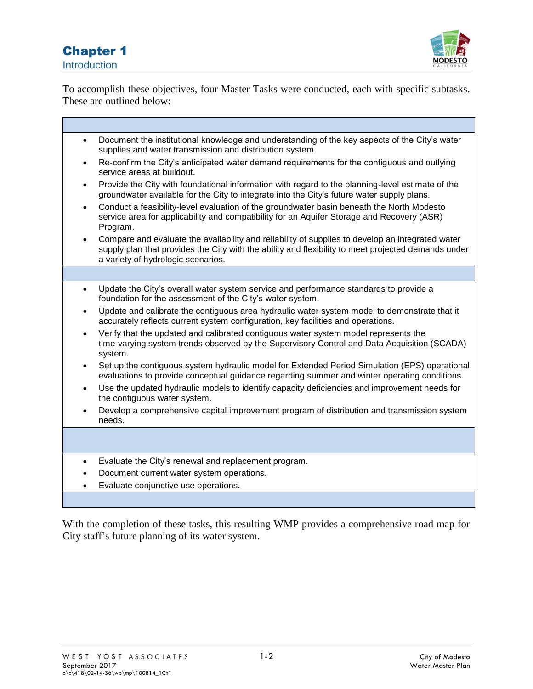## Chapter 1 Introduction



ń

To accomplish these objectives, four Master Tasks were conducted, each with specific subtasks. These are outlined below:

| $\bullet$ | Document the institutional knowledge and understanding of the key aspects of the City's water<br>supplies and water transmission and distribution system.                                                                                     |
|-----------|-----------------------------------------------------------------------------------------------------------------------------------------------------------------------------------------------------------------------------------------------|
| $\bullet$ | Re-confirm the City's anticipated water demand requirements for the contiguous and outlying<br>service areas at buildout.                                                                                                                     |
| $\bullet$ | Provide the City with foundational information with regard to the planning-level estimate of the<br>groundwater available for the City to integrate into the City's future water supply plans.                                                |
| $\bullet$ | Conduct a feasibility-level evaluation of the groundwater basin beneath the North Modesto<br>service area for applicability and compatibility for an Aquifer Storage and Recovery (ASR)<br>Program.                                           |
|           | Compare and evaluate the availability and reliability of supplies to develop an integrated water<br>supply plan that provides the City with the ability and flexibility to meet projected demands under<br>a variety of hydrologic scenarios. |
|           |                                                                                                                                                                                                                                               |
| $\bullet$ | Update the City's overall water system service and performance standards to provide a<br>foundation for the assessment of the City's water system.                                                                                            |
| $\bullet$ | Update and calibrate the contiguous area hydraulic water system model to demonstrate that it<br>accurately reflects current system configuration, key facilities and operations.                                                              |
|           | Verify that the updated and calibrated contiguous water system model represents the<br>time-varying system trends observed by the Supervisory Control and Data Acquisition (SCADA)<br>system.                                                 |
| $\bullet$ | Set up the contiguous system hydraulic model for Extended Period Simulation (EPS) operational<br>evaluations to provide conceptual guidance regarding summer and winter operating conditions.                                                 |
|           | Use the updated hydraulic models to identify capacity deficiencies and improvement needs for<br>the contiguous water system.                                                                                                                  |
| $\bullet$ | Develop a comprehensive capital improvement program of distribution and transmission system<br>needs.                                                                                                                                         |
|           |                                                                                                                                                                                                                                               |
|           | Evaluate the City's renewal and replacement program.                                                                                                                                                                                          |
|           | Document current water system operations.                                                                                                                                                                                                     |
|           | Evaluate conjunctive use operations.                                                                                                                                                                                                          |
|           |                                                                                                                                                                                                                                               |

With the completion of these tasks, this resulting WMP provides a comprehensive road map for City staff's future planning of its water system.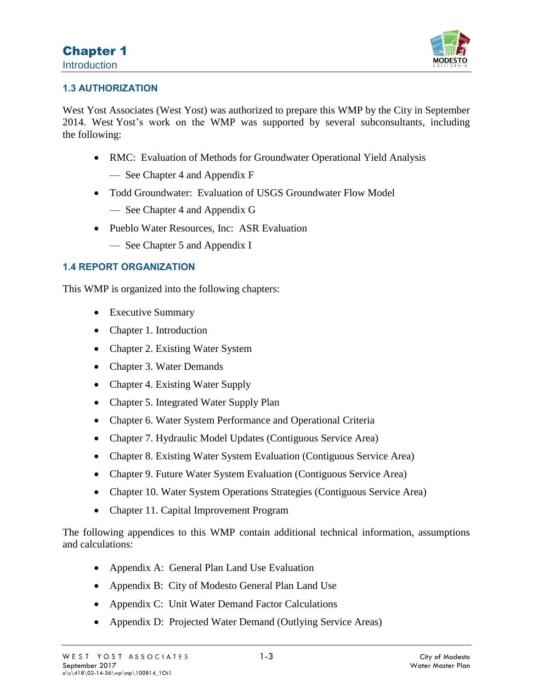

## **1.3 AUTHORIZATION**

West Yost Associates (West Yost) was authorized to prepare this WMP by the City in September 2014. West Yost's work on the WMP was supported by several subconsultants, including the following:

- RMC: Evaluation of Methods for Groundwater Operational Yield Analysis
	- See Chapter 4 and Appendix F
- Todd Groundwater: Evaluation of USGS Groundwater Flow Model
	- See Chapter 4 and Appendix G
- Pueblo Water Resources, Inc: ASR Evaluation
	- See Chapter 5 and Appendix I

## **1.4 REPORT ORGANIZATION**

This WMP is organized into the following chapters:

- Executive Summary
- Chapter 1. Introduction
- Chapter 2. Existing Water System
- Chapter 3. Water Demands
- Chapter 4. Existing Water Supply
- Chapter 5. Integrated Water Supply Plan
- Chapter 6. Water System Performance and Operational Criteria
- Chapter 7. Hydraulic Model Updates (Contiguous Service Area)
- Chapter 8. Existing Water System Evaluation (Contiguous Service Area)
- Chapter 9. Future Water System Evaluation (Contiguous Service Area)
- Chapter 10. Water System Operations Strategies (Contiguous Service Area)
- Chapter 11. Capital Improvement Program

The following appendices to this WMP contain additional technical information, assumptions and calculations:

- Appendix A: General Plan Land Use Evaluation
- Appendix B: City of Modesto General Plan Land Use
- Appendix C: Unit Water Demand Factor Calculations
- Appendix D: Projected Water Demand (Outlying Service Areas)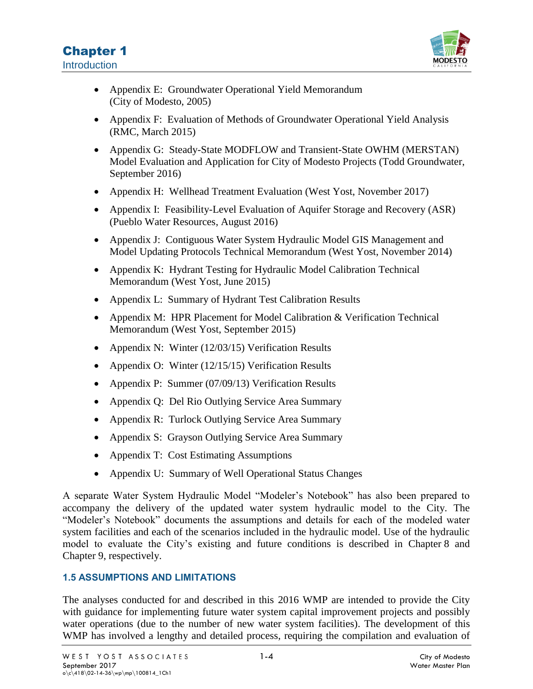

- Appendix E: Groundwater Operational Yield Memorandum (City of Modesto, 2005)
- Appendix F: Evaluation of Methods of Groundwater Operational Yield Analysis (RMC, March 2015)
- Appendix G: Steady-State MODFLOW and Transient-State OWHM (MERSTAN) Model Evaluation and Application for City of Modesto Projects (Todd Groundwater, September 2016)
- Appendix H: Wellhead Treatment Evaluation (West Yost, November 2017)
- Appendix I: Feasibility-Level Evaluation of Aquifer Storage and Recovery (ASR) (Pueblo Water Resources, August 2016)
- Appendix J: Contiguous Water System Hydraulic Model GIS Management and Model Updating Protocols Technical Memorandum (West Yost, November 2014)
- Appendix K: Hydrant Testing for Hydraulic Model Calibration Technical Memorandum (West Yost, June 2015)
- Appendix L: Summary of Hydrant Test Calibration Results
- Appendix M: HPR Placement for Model Calibration & Verification Technical Memorandum (West Yost, September 2015)
- Appendix N: Winter (12/03/15) Verification Results
- Appendix O: Winter (12/15/15) Verification Results
- Appendix P: Summer (07/09/13) Verification Results
- Appendix Q: Del Rio Outlying Service Area Summary
- Appendix R: Turlock Outlying Service Area Summary
- Appendix S: Grayson Outlying Service Area Summary
- Appendix T: Cost Estimating Assumptions
- Appendix U: Summary of Well Operational Status Changes

A separate Water System Hydraulic Model "Modeler's Notebook" has also been prepared to accompany the delivery of the updated water system hydraulic model to the City. The "Modeler's Notebook" documents the assumptions and details for each of the modeled water system facilities and each of the scenarios included in the hydraulic model. Use of the hydraulic model to evaluate the City's existing and future conditions is described in Chapter 8 and Chapter 9, respectively.

## **1.5 ASSUMPTIONS AND LIMITATIONS**

The analyses conducted for and described in this 2016 WMP are intended to provide the City with guidance for implementing future water system capital improvement projects and possibly water operations (due to the number of new water system facilities). The development of this WMP has involved a lengthy and detailed process, requiring the compilation and evaluation of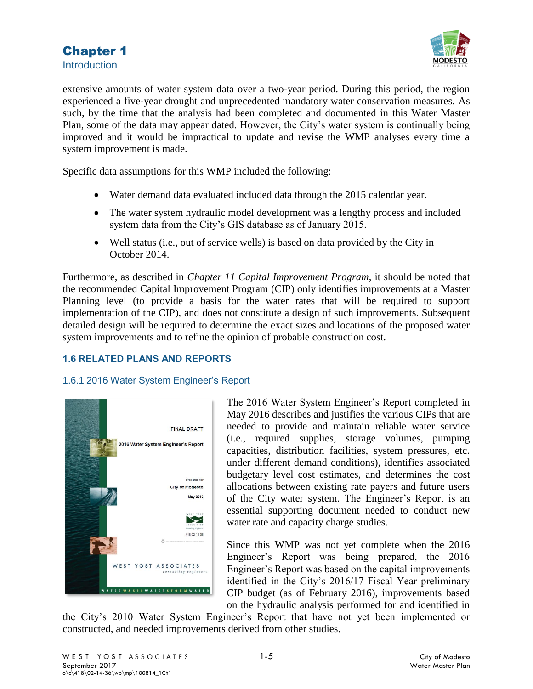

extensive amounts of water system data over a two-year period. During this period, the region experienced a five-year drought and unprecedented mandatory water conservation measures. As such, by the time that the analysis had been completed and documented in this Water Master Plan, some of the data may appear dated. However, the City's water system is continually being improved and it would be impractical to update and revise the WMP analyses every time a system improvement is made.

Specific data assumptions for this WMP included the following:

- Water demand data evaluated included data through the 2015 calendar year.
- The water system hydraulic model development was a lengthy process and included system data from the City's GIS database as of January 2015.
- Well status (i.e., out of service wells) is based on data provided by the City in October 2014.

Furthermore, as described in *Chapter 11 Capital Improvement Program*, it should be noted that the recommended Capital Improvement Program (CIP) only identifies improvements at a Master Planning level (to provide a basis for the water rates that will be required to support implementation of the CIP), and does not constitute a design of such improvements. Subsequent detailed design will be required to determine the exact sizes and locations of the proposed water system improvements and to refine the opinion of probable construction cost.

## **1.6 RELATED PLANS AND REPORTS**

## 1.6.1 2016 Water System Engineer's Report



The 2016 Water System Engineer's Report completed in May 2016 describes and justifies the various CIPs that are needed to provide and maintain reliable water service (i.e., required supplies, storage volumes, pumping capacities, distribution facilities, system pressures, etc. under different demand conditions), identifies associated budgetary level cost estimates, and determines the cost allocations between existing rate payers and future users of the City water system. The Engineer's Report is an essential supporting document needed to conduct new water rate and capacity charge studies.

Since this WMP was not yet complete when the 2016 Engineer's Report was being prepared, the 2016 Engineer's Report was based on the capital improvements identified in the City's 2016/17 Fiscal Year preliminary CIP budget (as of February 2016), improvements based on the hydraulic analysis performed for and identified in

the City's 2010 Water System Engineer's Report that have not yet been implemented or constructed, and needed improvements derived from other studies.